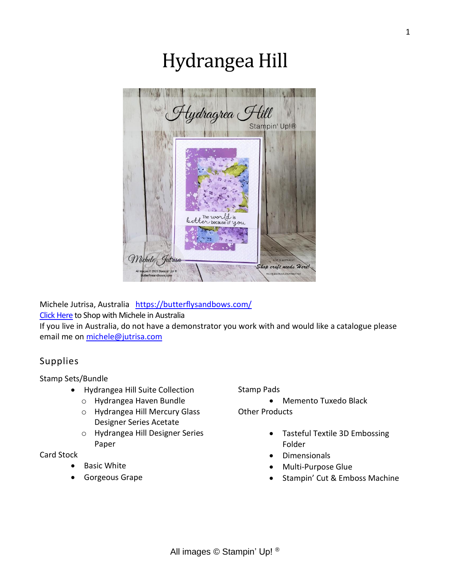# Hydrangea Hill



Michele Jutrisa, Australia <https://butterflysandbows.com/>

[Click Here](https://bit.ly/3pzkFMs) to Shop with Michele in Australia

If you live in Australia, do not have a demonstrator you work with and would like a catalogue please email me on [michele@jutrisa.com](mailto:michele@jutrisa.com)

# Supplies

#### Stamp Sets/Bundle

- Hydrangea Hill Suite Collection
	- o Hydrangea Haven Bundle
	- o Hydrangea Hill Mercury Glass Designer Series Acetate
	- o Hydrangea Hill Designer Series Paper

### Card Stock

- **Basic White**
- Gorgeous Grape

#### Stamp Pads

• Memento Tuxedo Black

Other Products

- Tasteful Textile 3D Embossing Folder
- Dimensionals
- Multi-Purpose Glue
- Stampin' Cut & Emboss Machine